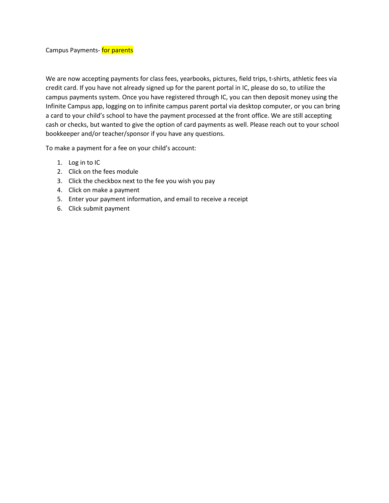Campus Payments- for parents

We are now accepting payments for class fees, yearbooks, pictures, field trips, t-shirts, athletic fees via credit card. If you have not already signed up for the parent portal in IC, please do so, to utilize the campus payments system. Once you have registered through IC, you can then deposit money using the Infinite Campus app, logging on to infinite campus parent portal via desktop computer, or you can bring a card to your child's school to have the payment processed at the front office. We are still accepting cash or checks, but wanted to give the option of card payments as well. Please reach out to your school bookkeeper and/or teacher/sponsor if you have any questions.

To make a payment for a fee on your child's account:

- 1. Log in to IC
- 2. Click on the fees module
- 3. Click the checkbox next to the fee you wish you pay
- 4. Click on make a payment
- 5. Enter your payment information, and email to receive a receipt
- 6. Click submit payment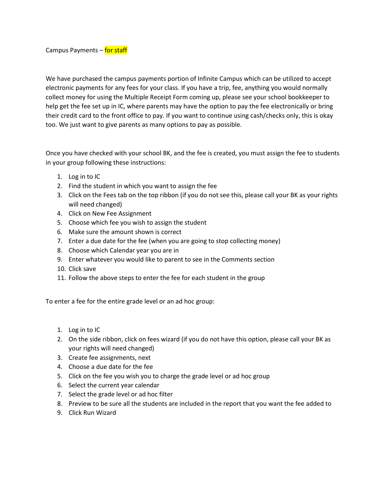Campus Payments – for staff

We have purchased the campus payments portion of Infinite Campus which can be utilized to accept electronic payments for any fees for your class. If you have a trip, fee, anything you would normally collect money for using the Multiple Receipt Form coming up, please see your school bookkeeper to help get the fee set up in IC, where parents may have the option to pay the fee electronically or bring their credit card to the front office to pay. If you want to continue using cash/checks only, this is okay too. We just want to give parents as many options to pay as possible.

Once you have checked with your school BK, and the fee is created, you must assign the fee to students in your group following these instructions:

- 1. Log in to IC
- 2. Find the student in which you want to assign the fee
- 3. Click on the Fees tab on the top ribbon (if you do not see this, please call your BK as your rights will need changed)
- 4. Click on New Fee Assignment
- 5. Choose which fee you wish to assign the student
- 6. Make sure the amount shown is correct
- 7. Enter a due date for the fee (when you are going to stop collecting money)
- 8. Choose which Calendar year you are in
- 9. Enter whatever you would like to parent to see in the Comments section
- 10. Click save
- 11. Follow the above steps to enter the fee for each student in the group

To enter a fee for the entire grade level or an ad hoc group:

- 1. Log in to IC
- 2. On the side ribbon, click on fees wizard (if you do not have this option, please call your BK as your rights will need changed)
- 3. Create fee assignments, next
- 4. Choose a due date for the fee
- 5. Click on the fee you wish you to charge the grade level or ad hoc group
- 6. Select the current year calendar
- 7. Select the grade level or ad hoc filter
- 8. Preview to be sure all the students are included in the report that you want the fee added to
- 9. Click Run Wizard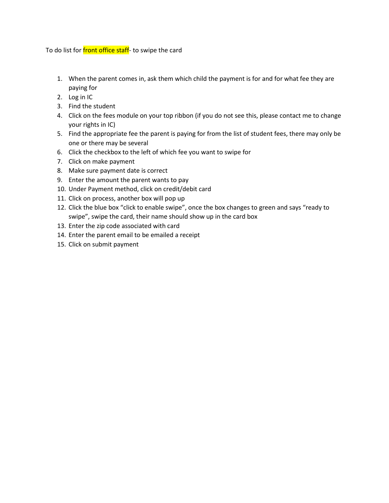## To do list for front office staff- to swipe the card

- 1. When the parent comes in, ask them which child the payment is for and for what fee they are paying for
- 2. Log in IC
- 3. Find the student
- 4. Click on the fees module on your top ribbon (if you do not see this, please contact me to change your rights in IC)
- 5. Find the appropriate fee the parent is paying for from the list of student fees, there may only be one or there may be several
- 6. Click the checkbox to the left of which fee you want to swipe for
- 7. Click on make payment
- 8. Make sure payment date is correct
- 9. Enter the amount the parent wants to pay
- 10. Under Payment method, click on credit/debit card
- 11. Click on process, another box will pop up
- 12. Click the blue box "click to enable swipe", once the box changes to green and says "ready to swipe", swipe the card, their name should show up in the card box
- 13. Enter the zip code associated with card
- 14. Enter the parent email to be emailed a receipt
- 15. Click on submit payment